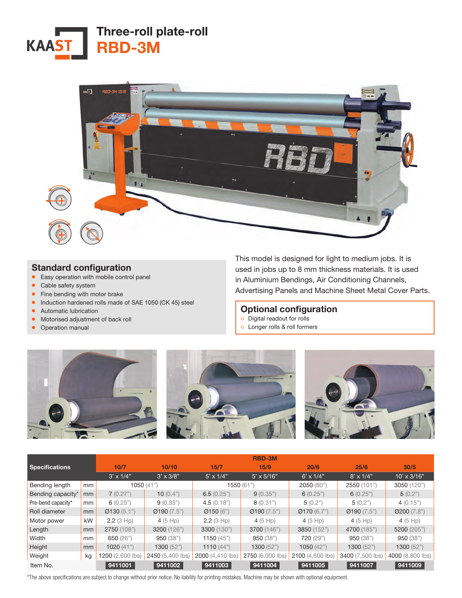



## Standard configuration

- Easy operation with mobile control panel
- Cable safety system
- Fine bending with motor brake
- Induction hardened rolls made of SAE 1050 (CK 45) steel
- Automatic lubrication
- Motorised adjustment of back roll
- Operation manual

This model is designed for light to medium jobs. It is used in jobs up to 8 mm thickness materials. It is used in Aluminium Bendings, Air Conditioning Channels, Advertising Panels and Machine Sheet Metal Cover Parts.

#### Optional configuration

- ੦ Digital readout for rolls
- ੦ Longer rolls & roll formers



|                       |    |                  |                  |                          | <b>RBD-3M</b>     |                  |                  |                    |
|-----------------------|----|------------------|------------------|--------------------------|-------------------|------------------|------------------|--------------------|
| <b>Specifications</b> |    | 10/7             | 10/10            | 15/7                     | 15/9              | 20/6             | 25/6             | 30/5               |
|                       |    | $3' \times 1/4"$ | $3' \times 3/8"$ | $5' \times 1/4"$         | $5' \times 5/16"$ | $6' \times 1/4"$ | $8' \times 1/4"$ | $10' \times 3/16"$ |
| Bending length        | mm | 1050 $(41")$     |                  | 1550(61")                |                   | 2050 (80")       | 2550 (101")      | 3050 (120")        |
| Bending capacity*     | mm | 7(0.27")         | 10 $(0.4")$      | 6.5(0.25")               | 9(0.35")          | 6(0.25")         | 6(0.25")         | 5(0.2")            |
| Pre-bend capacity*    | mm | 6(0.25")         | 9(0.35")         | 4.5(0.18")               | 8(0.31")          | 5(0.2")          | 5(0.2")          | 4(0.15")           |
| Roll diameter         | mm | Q130(5.1")       | Q190(7.5")       | $\varnothing$ 150 $(6")$ | Q190(7.5")        | Q170(6.7")       | Ø190(7.5")       | Ø200(7.8")         |
| Motor power           | kW | 2.2(3 Hp)        | 4 $(5$ Hp)       | 2.2(3 Hp)                | 4 (5 Hp)          | 4 (5 Hp)         | 4 (5 Hp)         | 4 (5 Hp)           |
| Length                | mm | 2750 (108")      | 3200 (126")      | 3300 (130")              | 3700 (146")       | 3850 (152")      | 4700 (185")      | 5200 (205")        |
| Width                 | mm | 650 (26")        | 950 (38")        | 1150 $(45")$             | 950(38")          | <b>720 (29")</b> | 950 (38")        | 950(38")           |
| Height                | mm | 1020 $(41")$     | 1300(52")        | 1110 $(44")$             | 1300(52")         | 1050(42")        | 1300(52")        | 1300(52")          |
| Weight                | kg | 1200 (2,600 lbs) | 2450 (5,400 lbs) | 2000 (4,410 lbs)         | 2750 (6,000 lbs)  | 2100 (4,600 lbs) | 3400 (7,500 lbs) | 4000 (8,800 lbs)   |
| Item No.              |    | 9411001          | 9411002          | 9411003                  | 9411004           | 9411005          | 9411007          | 9411009            |

\*The above specifications are subject to change without prior notice. No liability for printing mistakes. Machine may be shown with optional equipment.